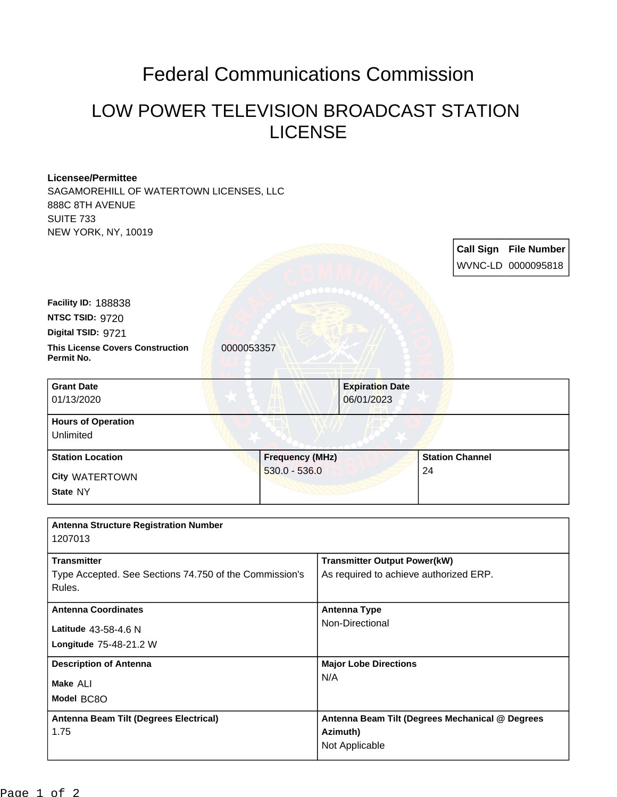## Federal Communications Commission

## LOW POWER TELEVISION BROADCAST STATION LICENSE

## **Licensee/Permittee**

SAGAMOREHILL OF WATERTOWN LICENSES, LLC 888C 8TH AVENUE SUITE 733 NEW YORK, NY, 10019

|                                                                  |                        |                                                 |    |                        | <b>Call Sign File Number</b><br>WVNC-LD 0000095818 |
|------------------------------------------------------------------|------------------------|-------------------------------------------------|----|------------------------|----------------------------------------------------|
| Facility ID: 188838                                              |                        |                                                 |    |                        |                                                    |
| NTSC TSID: 9720                                                  |                        |                                                 |    |                        |                                                    |
| Digital TSID: 9721                                               |                        |                                                 |    |                        |                                                    |
| <b>This License Covers Construction</b><br>Permit No.            | 0000053357             |                                                 |    |                        |                                                    |
| <b>Grant Date</b>                                                |                        | <b>Expiration Date</b>                          |    |                        |                                                    |
| 01/13/2020                                                       |                        | 06/01/2023                                      |    |                        |                                                    |
| <b>Hours of Operation</b><br>Unlimited                           |                        |                                                 |    |                        |                                                    |
| <b>Station Location</b>                                          | <b>Frequency (MHz)</b> |                                                 |    | <b>Station Channel</b> |                                                    |
| <b>City WATERTOWN</b>                                            | $530.0 - 536.0$        |                                                 | 24 |                        |                                                    |
| State NY                                                         |                        |                                                 |    |                        |                                                    |
| <b>Antenna Structure Registration Number</b><br>1207013          |                        |                                                 |    |                        |                                                    |
| <b>Transmitter</b>                                               |                        | <b>Transmitter Output Power(kW)</b>             |    |                        |                                                    |
| Type Accepted. See Sections 74.750 of the Commission's<br>Rules. |                        | As required to achieve authorized ERP.          |    |                        |                                                    |
| <b>Antenna Coordinates</b>                                       |                        | <b>Antenna Type</b>                             |    |                        |                                                    |
| Latitude 43-58-4.6 N                                             |                        | Non-Directional                                 |    |                        |                                                    |
| Longitude 75-48-21.2 W                                           |                        |                                                 |    |                        |                                                    |
| <b>Description of Antenna</b>                                    |                        | <b>Major Lobe Directions</b>                    |    |                        |                                                    |
| Make ALI                                                         |                        | N/A                                             |    |                        |                                                    |
| Model BC8O                                                       |                        |                                                 |    |                        |                                                    |
| Antenna Beam Tilt (Degrees Electrical)                           |                        | Antenna Beam Tilt (Degrees Mechanical @ Degrees |    |                        |                                                    |
| 1.75                                                             |                        | Azimuth)<br>Not Applicable                      |    |                        |                                                    |